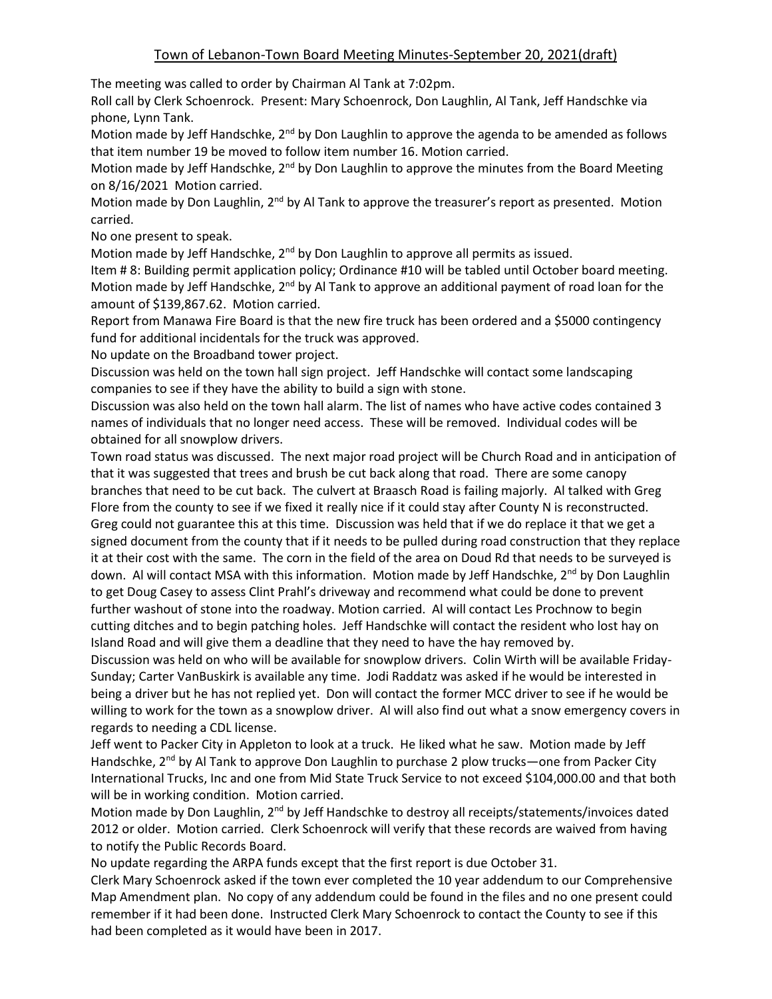The meeting was called to order by Chairman Al Tank at 7:02pm.

Roll call by Clerk Schoenrock. Present: Mary Schoenrock, Don Laughlin, Al Tank, Jeff Handschke via phone, Lynn Tank.

Motion made by Jeff Handschke, 2<sup>nd</sup> by Don Laughlin to approve the agenda to be amended as follows that item number 19 be moved to follow item number 16. Motion carried.

Motion made by Jeff Handschke,  $2^{nd}$  by Don Laughlin to approve the minutes from the Board Meeting on 8/16/2021 Motion carried.

Motion made by Don Laughlin, 2<sup>nd</sup> by Al Tank to approve the treasurer's report as presented. Motion carried.

No one present to speak.

Motion made by Jeff Handschke, 2<sup>nd</sup> by Don Laughlin to approve all permits as issued.

Item # 8: Building permit application policy; Ordinance #10 will be tabled until October board meeting. Motion made by Jeff Handschke, 2<sup>nd</sup> by Al Tank to approve an additional payment of road loan for the amount of \$139,867.62. Motion carried.

Report from Manawa Fire Board is that the new fire truck has been ordered and a \$5000 contingency fund for additional incidentals for the truck was approved.

No update on the Broadband tower project.

Discussion was held on the town hall sign project. Jeff Handschke will contact some landscaping companies to see if they have the ability to build a sign with stone.

Discussion was also held on the town hall alarm. The list of names who have active codes contained 3 names of individuals that no longer need access. These will be removed. Individual codes will be obtained for all snowplow drivers.

Town road status was discussed. The next major road project will be Church Road and in anticipation of that it was suggested that trees and brush be cut back along that road. There are some canopy branches that need to be cut back. The culvert at Braasch Road is failing majorly. Al talked with Greg Flore from the county to see if we fixed it really nice if it could stay after County N is reconstructed. Greg could not guarantee this at this time. Discussion was held that if we do replace it that we get a signed document from the county that if it needs to be pulled during road construction that they replace it at their cost with the same. The corn in the field of the area on Doud Rd that needs to be surveyed is down. Al will contact MSA with this information. Motion made by Jeff Handschke, 2<sup>nd</sup> by Don Laughlin to get Doug Casey to assess Clint Prahl's driveway and recommend what could be done to prevent further washout of stone into the roadway. Motion carried. Al will contact Les Prochnow to begin cutting ditches and to begin patching holes. Jeff Handschke will contact the resident who lost hay on Island Road and will give them a deadline that they need to have the hay removed by.

Discussion was held on who will be available for snowplow drivers. Colin Wirth will be available Friday-Sunday; Carter VanBuskirk is available any time. Jodi Raddatz was asked if he would be interested in being a driver but he has not replied yet. Don will contact the former MCC driver to see if he would be willing to work for the town as a snowplow driver. Al will also find out what a snow emergency covers in regards to needing a CDL license.

Jeff went to Packer City in Appleton to look at a truck. He liked what he saw. Motion made by Jeff Handschke, 2<sup>nd</sup> by Al Tank to approve Don Laughlin to purchase 2 plow trucks—one from Packer City International Trucks, Inc and one from Mid State Truck Service to not exceed \$104,000.00 and that both will be in working condition. Motion carried.

Motion made by Don Laughlin, 2<sup>nd</sup> by Jeff Handschke to destroy all receipts/statements/invoices dated 2012 or older. Motion carried. Clerk Schoenrock will verify that these records are waived from having to notify the Public Records Board.

No update regarding the ARPA funds except that the first report is due October 31.

Clerk Mary Schoenrock asked if the town ever completed the 10 year addendum to our Comprehensive Map Amendment plan. No copy of any addendum could be found in the files and no one present could remember if it had been done. Instructed Clerk Mary Schoenrock to contact the County to see if this had been completed as it would have been in 2017.